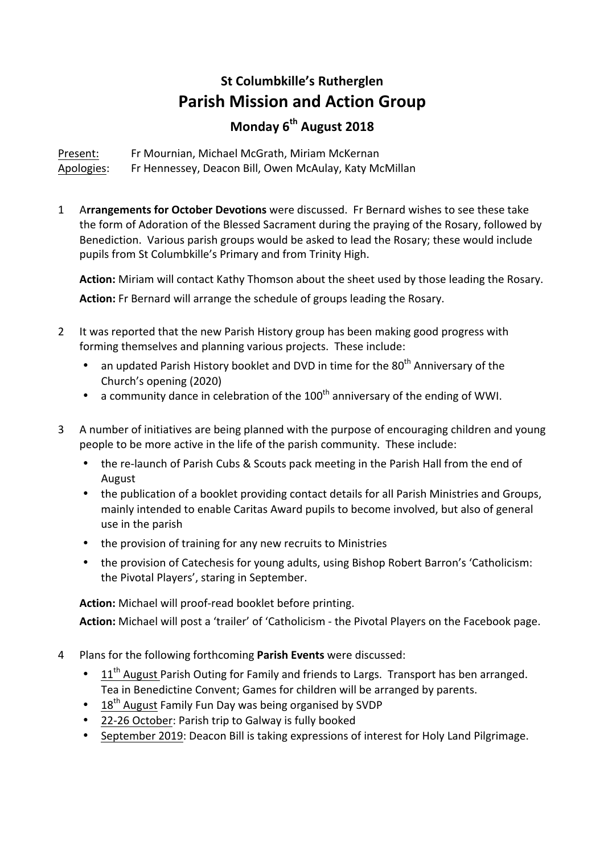## **St Columbkille's Rutherglen Parish Mission and Action Group Monday 6th August 2018**

Present: Fr Mournian, Michael McGrath, Miriam McKernan Apologies: Fr Hennessey, Deacon Bill, Owen McAulay, Katy McMillan

1 **Arrangements for October Devotions** were discussed. Fr Bernard wishes to see these take the form of Adoration of the Blessed Sacrament during the praying of the Rosary, followed by Benediction. Various parish groups would be asked to lead the Rosary; these would include pupils from St Columbkille's Primary and from Trinity High.

Action: Miriam will contact Kathy Thomson about the sheet used by those leading the Rosary. Action: Fr Bernard will arrange the schedule of groups leading the Rosary.

- 2 It was reported that the new Parish History group has been making good progress with forming themselves and planning various projects. These include:
	- an updated Parish History booklet and DVD in time for the  $80<sup>th</sup>$  Anniversary of the Church's opening (2020)
	- a community dance in celebration of the  $100<sup>th</sup>$  anniversary of the ending of WWI.
- 3 A number of initiatives are being planned with the purpose of encouraging children and young people to be more active in the life of the parish community. These include:
	- the re-launch of Parish Cubs & Scouts pack meeting in the Parish Hall from the end of August
	- the publication of a booklet providing contact details for all Parish Ministries and Groups, mainly intended to enable Caritas Award pupils to become involved, but also of general use in the parish
	- the provision of training for any new recruits to Ministries
	- the provision of Catechesis for young adults, using Bishop Robert Barron's 'Catholicism: the Pivotal Players', staring in September.

Action: Michael will proof-read booklet before printing.

Action: Michael will post a 'trailer' of 'Catholicism - the Pivotal Players on the Facebook page.

- 4 Plans for the following forthcoming Parish Events were discussed:
	- 11<sup>th</sup> August Parish Outing for Family and friends to Largs. Transport has ben arranged. Tea in Benedictine Convent; Games for children will be arranged by parents.
	- 18<sup>th</sup> August Family Fun Day was being organised by SVDP
	- 22-26 October: Parish trip to Galway is fully booked
	- September 2019: Deacon Bill is taking expressions of interest for Holy Land Pilgrimage.